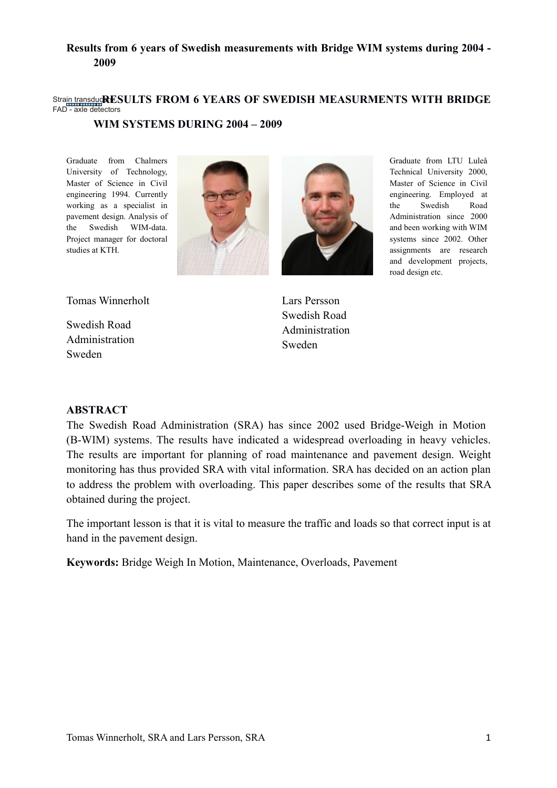#### Stra<u>in transduc</u>RESULTS FROM 6 YEARS OF SWEDISH MEASURMENTS WITH BRIDGE FAD - axle detectors **WIM SYSTEMS DURING 2004 – 2009**

Graduate from Chalmers University of Technology, Master of Science in Civil engineering 1994. Currently working as a specialist in pavement design. Analysis of the Swedish WIM-data. Project manager for doctoral studies at KTH.





Graduate from LTU Luleå Technical University 2000, Master of Science in Civil engineering. Employed at the Swedish Road Administration since 2000 and been working with WIM systems since 2002. Other assignments are research and development projects,

road design etc.

Tomas Winnerholt

Swedish Road Administration Sweden

Lars Persson Swedish Road Administration Sweden

#### **ABSTRACT**

The Swedish Road Administration (SRA) has since 2002 used Bridge-Weigh in Motion (B-WIM) systems. The results have indicated a widespread overloading in heavy vehicles. The results are important for planning of road maintenance and pavement design. Weight monitoring has thus provided SRA with vital information. SRA has decided on an action plan to address the problem with overloading. This paper describes some of the results that SRA obtained during the project.

The important lesson is that it is vital to measure the traffic and loads so that correct input is at hand in the pavement design.

**Keywords:** Bridge Weigh In Motion, Maintenance, Overloads, Pavement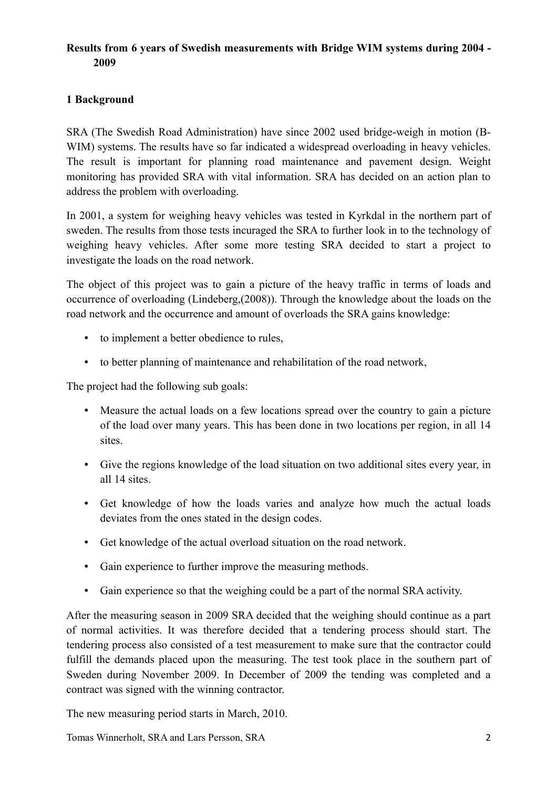# **1 Background**

SRA (The Swedish Road Administration) have since 2002 used bridge-weigh in motion (B-WIM) systems. The results have so far indicated a widespread overloading in heavy vehicles. The result is important for planning road maintenance and pavement design. Weight monitoring has provided SRA with vital information. SRA has decided on an action plan to address the problem with overloading.

In 2001, a system for weighing heavy vehicles was tested in Kyrkdal in the northern part of sweden. The results from those tests incuraged the SRA to further look in to the technology of weighing heavy vehicles. After some more testing SRA decided to start a project to investigate the loads on the road network.

The object of this project was to gain a picture of the heavy traffic in terms of loads and occurrence of overloading (Lindeberg,(2008)). Through the knowledge about the loads on the road network and the occurrence and amount of overloads the SRA gains knowledge:

- to implement a better obedience to rules,
- to better planning of maintenance and rehabilitation of the road network,

The project had the following sub goals:

- Measure the actual loads on a few locations spread over the country to gain a picture of the load over many years. This has been done in two locations per region, in all 14 sites.
- Give the regions knowledge of the load situation on two additional sites every year, in all 14 sites.
- Get knowledge of how the loads varies and analyze how much the actual loads deviates from the ones stated in the design codes.
- Get knowledge of the actual overload situation on the road network.
- Gain experience to further improve the measuring methods.
- Gain experience so that the weighing could be a part of the normal SRA activity.

After the measuring season in 2009 SRA decided that the weighing should continue as a part of normal activities. It was therefore decided that a tendering process should start. The tendering process also consisted of a test measurement to make sure that the contractor could fulfill the demands placed upon the measuring. The test took place in the southern part of Sweden during November 2009. In December of 2009 the tending was completed and a contract was signed with the winning contractor.

The new measuring period starts in March, 2010.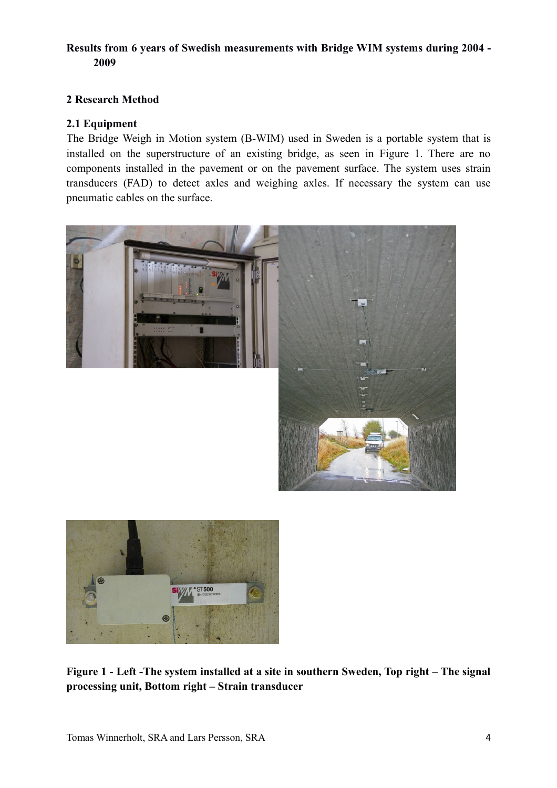### **2 Research Method**

#### **2.1 Equipment**

The Bridge Weigh in Motion system (B-WIM) used in Sweden is a portable system that is installed on the superstructure of an existing bridge, as seen in Figure 1. There are no components installed in the pavement or on the pavement surface. The system uses strain transducers (FAD) to detect axles and weighing axles. If necessary the system can use pneumatic cables on the surface.





**Figure 1 - Left -The system installed at a site in southern Sweden, Top right – The signal processing unit, Bottom right – Strain transducer**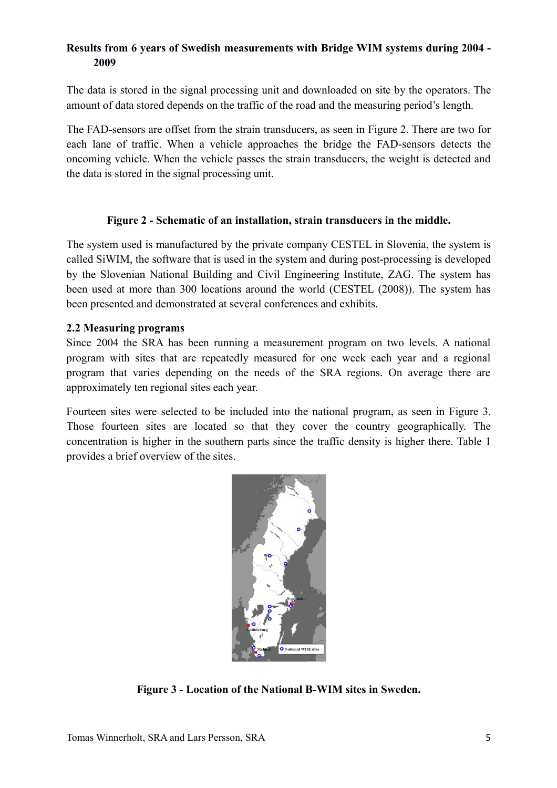The data is stored in the signal processing unit and downloaded on site by the operators. The amount of data stored depends on the traffic of the road and the measuring period's length.

The FAD-sensors are offset from the strain transducers, as seen in Figure 2. There are two for each lane of traffic. When a vehicle approaches the bridge the FAD-sensors detects the oncoming vehicle. When the vehicle passes the strain transducers, the weight is detected and the data is stored in the signal processing unit.

#### **Figure 2 - Schematic of an installation, strain transducers in the middle.**

The system used is manufactured by the private company CESTEL in Slovenia, the system is called SiWIM, the software that is used in the system and during post-processing is developed by the Slovenian National Building and Civil Engineering Institute, ZAG. The system has been used at more than 300 locations around the world (CESTEL (2008)). The system has been presented and demonstrated at several conferences and exhibits.

#### **2.2 Measuring programs**

Since 2004 the SRA has been running a measurement program on two levels. A national program with sites that are repeatedly measured for one week each year and a regional program that varies depending on the needs of the SRA regions. On average there are approximately ten regional sites each year.

Fourteen sites were selected to be included into the national program, as seen in Figure 3. Those fourteen sites are located so that they cover the country geographically. The concentration is higher in the southern parts since the traffic density is higher there. Table 1 provides a brief overview of the sites.



**Figure 3 - Location of the National B-WIM sites in Sweden.**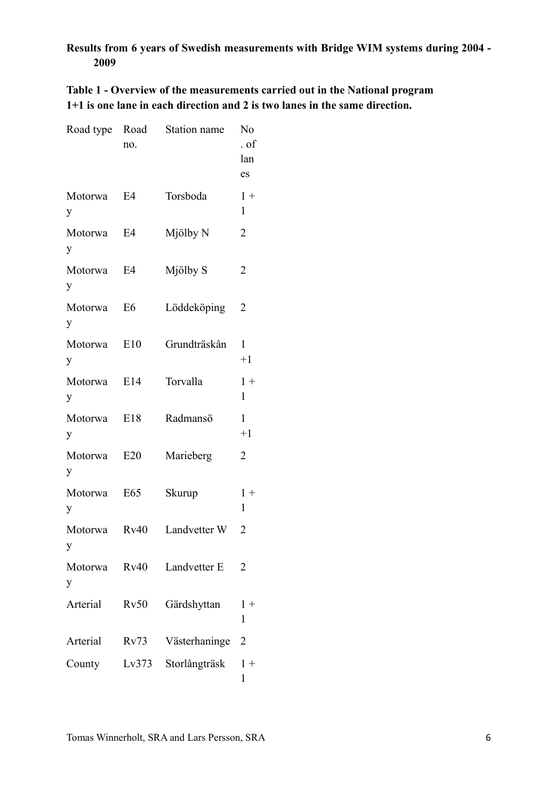**Table 1 - Overview of the measurements carried out in the National program 1+1 is one lane in each direction and 2 is two lanes in the same direction.** 

| Road type    | Road<br>no.    | Station name  | No<br>. of<br>lan<br>es |
|--------------|----------------|---------------|-------------------------|
| Motorwa<br>у | E4             | Torsboda      | $1+$<br>1               |
| Motorwa<br>y | E4             | Mjölby N      | $\overline{2}$          |
| Motorwa<br>y | E4             | Mjölby S      | $\overline{2}$          |
| Motorwa<br>у | E <sub>6</sub> | Löddeköping   | 2                       |
| Motorwa<br>y | E10            | Grundträskån  | 1<br>$+1$               |
| Motorwa<br>y | E14            | Torvalla      | $1 +$<br>1              |
| Motorwa<br>y | E18            | Radmansö      | $\mathbf{1}$<br>$+1$    |
| Motorwa<br>у | E20            | Marieberg     | 2                       |
| Motorwa<br>y | E65            | Skurup        | $1 +$<br>1              |
| Motorwa      | Rv40           | Landvetter W  | 2                       |
| Motorwa<br>y | Rv40           | Landvetter E  | $\overline{2}$          |
| Arterial     | Rv50           | Gärdshyttan   | $1 +$<br>1              |
| Arterial     | Rv73           | Västerhaninge | $\overline{2}$          |
| County       | Lv373          | Storlångträsk | $1 +$<br>1              |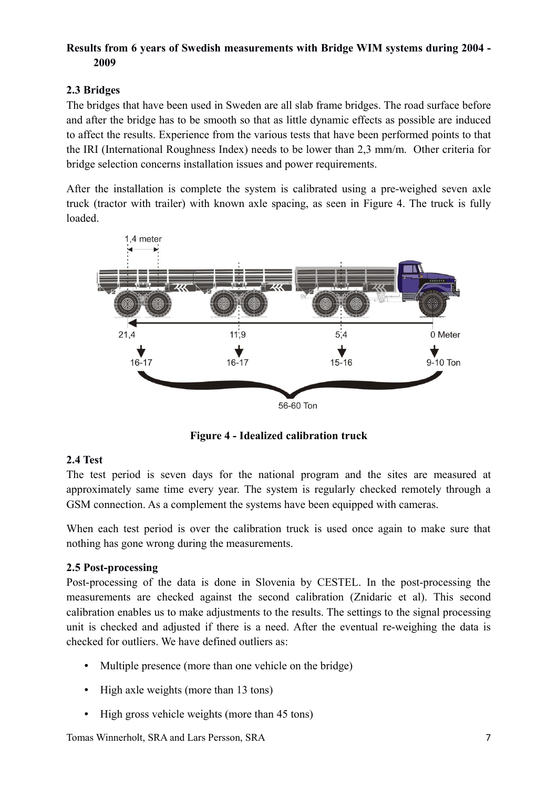# **2.3 Bridges**

The bridges that have been used in Sweden are all slab frame bridges. The road surface before and after the bridge has to be smooth so that as little dynamic effects as possible are induced to affect the results. Experience from the various tests that have been performed points to that the IRI (International Roughness Index) needs to be lower than 2,3 mm/m. Other criteria for bridge selection concerns installation issues and power requirements.

After the installation is complete the system is calibrated using a pre-weighed seven axle truck (tractor with trailer) with known axle spacing, as seen in Figure 4. The truck is fully loaded.



**Figure 4 - Idealized calibration truck**

# **2.4 Test**

The test period is seven days for the national program and the sites are measured at approximately same time every year. The system is regularly checked remotely through a GSM connection. As a complement the systems have been equipped with cameras.

When each test period is over the calibration truck is used once again to make sure that nothing has gone wrong during the measurements.

# **2.5 Post-processing**

Post-processing of the data is done in Slovenia by CESTEL. In the post-processing the measurements are checked against the second calibration (Znidaric et al). This second calibration enables us to make adjustments to the results. The settings to the signal processing unit is checked and adjusted if there is a need. After the eventual re-weighing the data is checked for outliers. We have defined outliers as:

- Multiple presence (more than one vehicle on the bridge)
- High axle weights (more than 13 tons)
- High gross vehicle weights (more than 45 tons)

Tomas Winnerholt, SRA and Lars Persson, SRA 7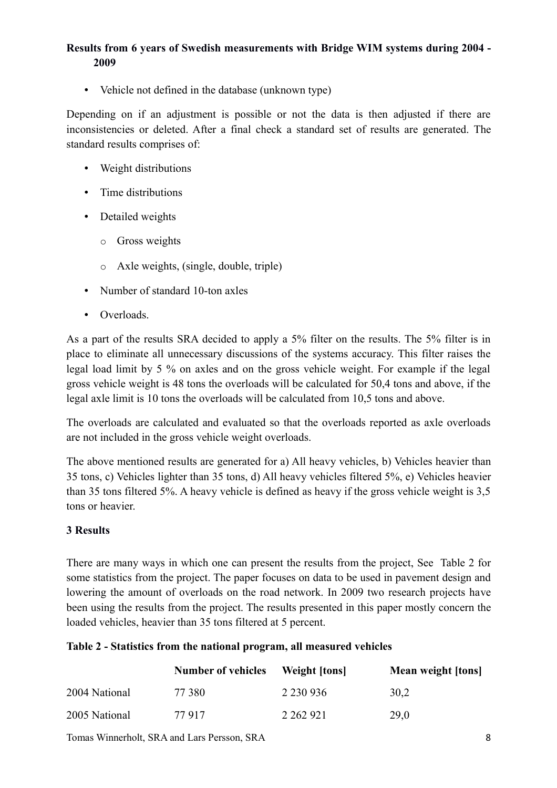• Vehicle not defined in the database (unknown type)

Depending on if an adjustment is possible or not the data is then adjusted if there are inconsistencies or deleted. After a final check a standard set of results are generated. The standard results comprises of:

- Weight distributions
- Time distributions
- Detailed weights
	- o Gross weights
	- o Axle weights, (single, double, triple)
- Number of standard 10-ton axles
- Overloads.

As a part of the results SRA decided to apply a 5% filter on the results. The 5% filter is in place to eliminate all unnecessary discussions of the systems accuracy. This filter raises the legal load limit by 5 % on axles and on the gross vehicle weight. For example if the legal gross vehicle weight is 48 tons the overloads will be calculated for 50,4 tons and above, if the legal axle limit is 10 tons the overloads will be calculated from 10,5 tons and above.

The overloads are calculated and evaluated so that the overloads reported as axle overloads are not included in the gross vehicle weight overloads.

The above mentioned results are generated for a) All heavy vehicles, b) Vehicles heavier than 35 tons, c) Vehicles lighter than 35 tons, d) All heavy vehicles filtered 5%, e) Vehicles heavier than 35 tons filtered 5%. A heavy vehicle is defined as heavy if the gross vehicle weight is 3,5 tons or heavier.

#### **3 Results**

There are many ways in which one can present the results from the project, See Table 2 for some statistics from the project. The paper focuses on data to be used in pavement design and lowering the amount of overloads on the road network. In 2009 two research projects have been using the results from the project. The results presented in this paper mostly concern the loaded vehicles, heavier than 35 tons filtered at 5 percent.

#### **Table 2 - Statistics from the national program, all measured vehicles**

|               | <b>Number of vehicles</b> | <b>Weight [tons]</b> | Mean weight [tons] |
|---------------|---------------------------|----------------------|--------------------|
| 2004 National | 77 380                    | 2 2 3 0 9 3 6        | 30.2               |
| 2005 National | 77 917                    | 2 262 921            | 29,0               |

Tomas Winnerholt, SRA and Lars Persson, SRA 8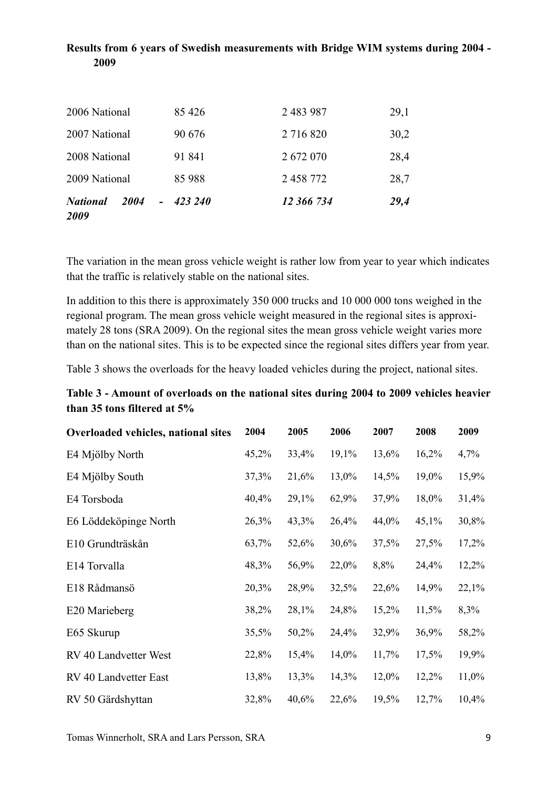| <b>National</b><br>2004<br>2009 | 423 240 | 12 366 734 | 29,4 |
|---------------------------------|---------|------------|------|
| 2009 National                   | 85 988  | 2 458 772  | 28,7 |
| 2008 National                   | 91 841  | 2 672 070  | 28,4 |
| 2007 National                   | 90 676  | 2 716 820  | 30,2 |
| 2006 National                   | 85 4 26 | 2 483 987  | 29,1 |

The variation in the mean gross vehicle weight is rather low from year to year which indicates that the traffic is relatively stable on the national sites.

In addition to this there is approximately 350 000 trucks and 10 000 000 tons weighed in the regional program. The mean gross vehicle weight measured in the regional sites is approximately 28 tons (SRA 2009). On the regional sites the mean gross vehicle weight varies more than on the national sites. This is to be expected since the regional sites differs year from year.

Table 3 shows the overloads for the heavy loaded vehicles during the project, national sites.

### **Table 3 - Amount of overloads on the national sites during 2004 to 2009 vehicles heavier than 35 tons filtered at 5%**

| Overloaded vehicles, national sites | 2004  | 2005  | 2006  | 2007  | 2008  | 2009  |
|-------------------------------------|-------|-------|-------|-------|-------|-------|
| E4 Mjölby North                     | 45,2% | 33,4% | 19,1% | 13,6% | 16,2% | 4,7%  |
| E4 Mjölby South                     | 37,3% | 21,6% | 13,0% | 14,5% | 19,0% | 15,9% |
| E4 Torsboda                         | 40,4% | 29,1% | 62,9% | 37,9% | 18,0% | 31,4% |
| E6 Löddeköpinge North               | 26,3% | 43,3% | 26,4% | 44,0% | 45,1% | 30,8% |
| E10 Grundträskån                    | 63,7% | 52,6% | 30,6% | 37,5% | 27,5% | 17,2% |
| E14 Torvalla                        | 48,3% | 56,9% | 22,0% | 8,8%  | 24,4% | 12,2% |
| E18 Rådmansö                        | 20,3% | 28,9% | 32,5% | 22,6% | 14,9% | 22,1% |
| E20 Marieberg                       | 38,2% | 28,1% | 24,8% | 15,2% | 11,5% | 8,3%  |
| E65 Skurup                          | 35,5% | 50,2% | 24,4% | 32,9% | 36,9% | 58,2% |
| RV 40 Landvetter West               | 22,8% | 15,4% | 14,0% | 11,7% | 17,5% | 19,9% |
| RV 40 Landvetter East               | 13,8% | 13,3% | 14,3% | 12,0% | 12,2% | 11,0% |
| RV 50 Gärdshyttan                   | 32,8% | 40,6% | 22,6% | 19,5% | 12,7% | 10,4% |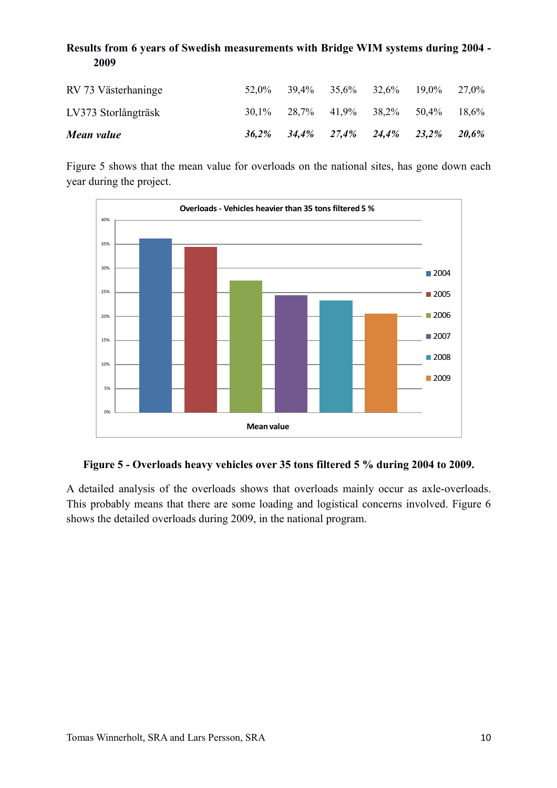| 2009                |       |                                                       |                            |  |          |
|---------------------|-------|-------------------------------------------------------|----------------------------|--|----------|
| RV 73 Västerhaninge | 52.0% | 39.4%                                                 | $35.6\%$ $32.6\%$ $19.0\%$ |  | 27.0%    |
| LV373 Storlångträsk |       | $30,1\%$ $28,7\%$ $41,9\%$ $38,2\%$ $50,4\%$ $18,6\%$ |                            |  |          |
| Mean value          |       | $36,2\%$ $34,4\%$ $27,4\%$ $24,4\%$ $23,2\%$          |                            |  | $20.6\%$ |

Figure 5 shows that the mean value for overloads on the national sites, has gone down each year during the project.



# **Figure 5 - Overloads heavy vehicles over 35 tons filtered 5 % during 2004 to 2009.**

A detailed analysis of the overloads shows that overloads mainly occur as axle-overloads. This probably means that there are some loading and logistical concerns involved. Figure 6 shows the detailed overloads during 2009, in the national program.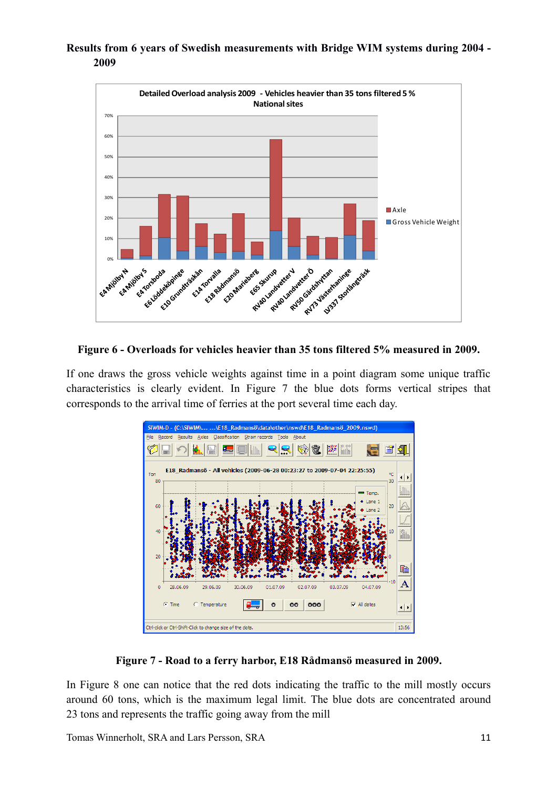

**Figure 6 - Overloads for vehicles heavier than 35 tons filtered 5% measured in 2009.**

If one draws the gross vehicle weights against time in a point diagram some unique traffic characteristics is clearly evident. In Figure 7 the blue dots forms vertical stripes that corresponds to the arrival time of ferries at the port several time each day.



**Figure 7 - Road to a ferry harbor, E18 Rådmansö measured in 2009.**

In Figure 8 one can notice that the red dots indicating the traffic to the mill mostly occurs around 60 tons, which is the maximum legal limit. The blue dots are concentrated around 23 tons and represents the traffic going away from the mill

Tomas Winnerholt, SRA and Lars Persson, SRA 11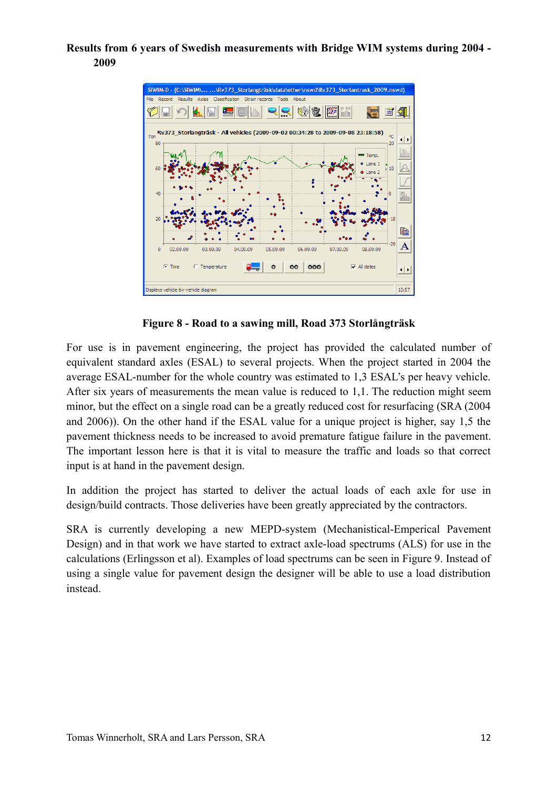

**Figure 8 - Road to a sawing mill, Road 373 Storlångträsk**

For use is in pavement engineering, the project has provided the calculated number of equivalent standard axles (ESAL) to several projects. When the project started in 2004 the average ESAL-number for the whole country was estimated to 1,3 ESAL's per heavy vehicle. After six years of measurements the mean value is reduced to 1,1. The reduction might seem minor, but the effect on a single road can be a greatly reduced cost for resurfacing (SRA (2004 and 2006)). On the other hand if the ESAL value for a unique project is higher, say 1,5 the pavement thickness needs to be increased to avoid premature fatigue failure in the pavement. The important lesson here is that it is vital to measure the traffic and loads so that correct input is at hand in the pavement design.

In addition the project has started to deliver the actual loads of each axle for use in design/build contracts. Those deliveries have been greatly appreciated by the contractors.

SRA is currently developing a new MEPD-system (Mechanistical-Emperical Pavement Design) and in that work we have started to extract axle-load spectrums (ALS) for use in the calculations (Erlingsson et al). Examples of load spectrums can be seen in Figure 9. Instead of using a single value for pavement design the designer will be able to use a load distribution instead.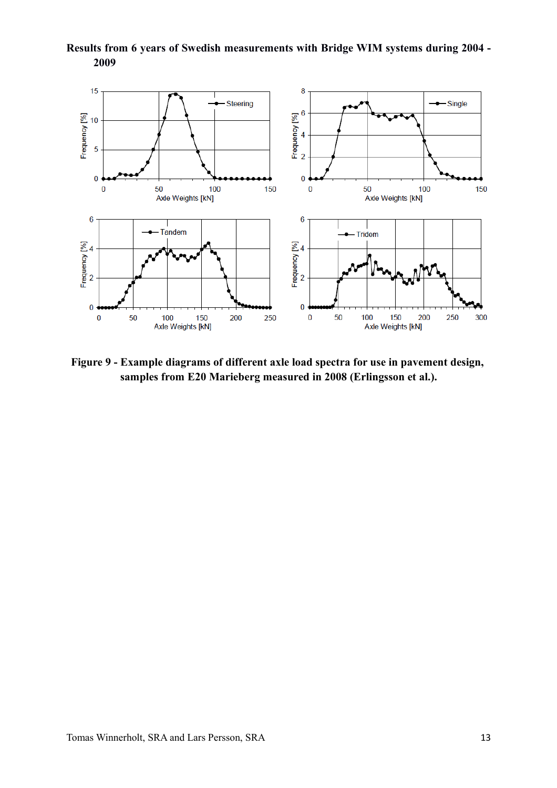

**Results from 6 years of Swedish measurements with Bridge WIM systems during 2004 - 2009**

**Figure 9 - Example diagrams of different axle load spectra for use in pavement design, samples from E20 Marieberg measured in 2008 (Erlingsson et al.).**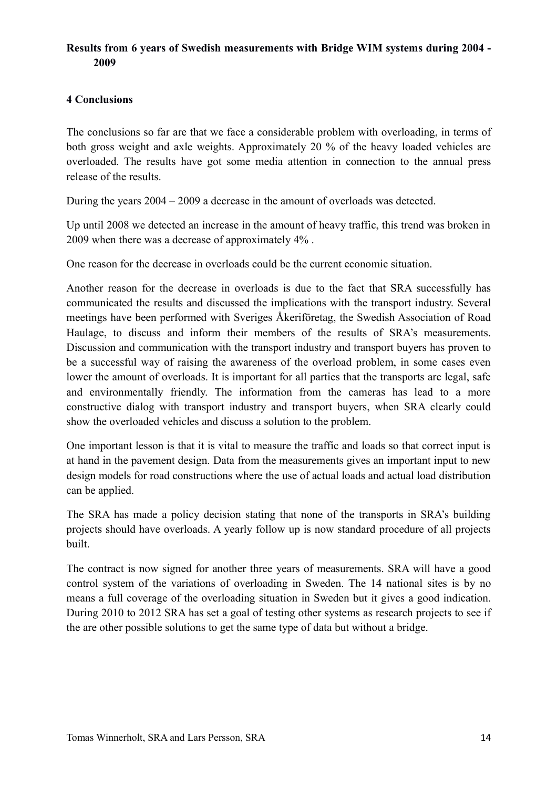### **4 Conclusions**

The conclusions so far are that we face a considerable problem with overloading, in terms of both gross weight and axle weights. Approximately 20 % of the heavy loaded vehicles are overloaded. The results have got some media attention in connection to the annual press release of the results.

During the years 2004 – 2009 a decrease in the amount of overloads was detected.

Up until 2008 we detected an increase in the amount of heavy traffic, this trend was broken in 2009 when there was a decrease of approximately 4% .

One reason for the decrease in overloads could be the current economic situation.

Another reason for the decrease in overloads is due to the fact that SRA successfully has communicated the results and discussed the implications with the transport industry. Several meetings have been performed with Sveriges Åkeriföretag, the Swedish Association of Road Haulage, to discuss and inform their members of the results of SRA's measurements. Discussion and communication with the transport industry and transport buyers has proven to be a successful way of raising the awareness of the overload problem, in some cases even lower the amount of overloads. It is important for all parties that the transports are legal, safe and environmentally friendly. The information from the cameras has lead to a more constructive dialog with transport industry and transport buyers, when SRA clearly could show the overloaded vehicles and discuss a solution to the problem.

One important lesson is that it is vital to measure the traffic and loads so that correct input is at hand in the pavement design. Data from the measurements gives an important input to new design models for road constructions where the use of actual loads and actual load distribution can be applied.

The SRA has made a policy decision stating that none of the transports in SRA's building projects should have overloads. A yearly follow up is now standard procedure of all projects built.

The contract is now signed for another three years of measurements. SRA will have a good control system of the variations of overloading in Sweden. The 14 national sites is by no means a full coverage of the overloading situation in Sweden but it gives a good indication. During 2010 to 2012 SRA has set a goal of testing other systems as research projects to see if the are other possible solutions to get the same type of data but without a bridge.